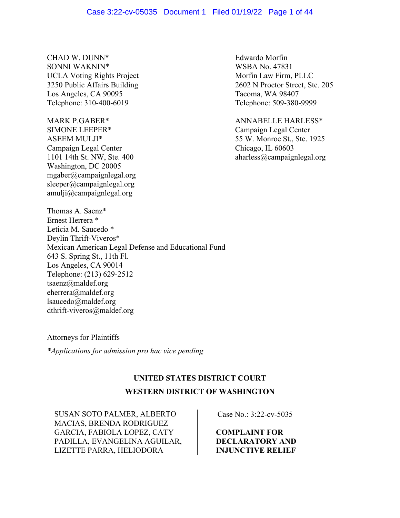#### Case 3:22-cv-05035 Document 1 Filed 01/19/22 Page 1 of 44

CHAD W. DUNN\* Edwardo Morfin SONNI WAKNIN\* WSBA No. 47831<br>UCLA Voting Rights Project Morfin Law Firm, PLLC UCLA Voting Rights Project Los Angeles, CA 90095 Tacoma, WA 98407 Telephone: 310-400-6019 Telephone: 509-380-9999

MARK P.GABER\* ANNABELLE HARLESS\* SIMONE LEEPER<sup>\*</sup> Campaign Legal Center Campaign Legal Center Chicago, IL 60603 Washington, DC 20005 mgaber@campaignlegal.org sleeper@campaignlegal.org amulji@campaignlegal.org

Thomas A. Saenz\* Ernest Herrera \* Leticia M. Saucedo \* Deylin Thrift-Viveros\* Mexican American Legal Defense and Educational Fund 643 S. Spring St., 11th Fl. Los Angeles, CA 90014 Telephone: (213) 629-2512 tsaenz@maldef.org eherrera@maldef.org lsaucedo@maldef.org dthrift-viveros@maldef.org

3250 Public Affairs Building 2602 N Proctor Street, Ste. 205

ASEEM MULJI\* 55 W. Monroe St., Ste. 1925 1101 14th St. NW, Ste. 400 aharless@campaignlegal.org

Attorneys for Plaintiffs

*\*Applications for admission pro hac vice pending*

# **UNITED STATES DISTRICT COURT**

# **WESTERN DISTRICT OF WASHINGTON**

SUSAN SOTO PALMER, ALBERTO MACIAS, BRENDA RODRIGUEZ GARCIA, FABIOLA LOPEZ, CATY PADILLA, EVANGELINA AGUILAR, LIZETTE PARRA, HELIODORA

Case No.: 3:22-cv-5035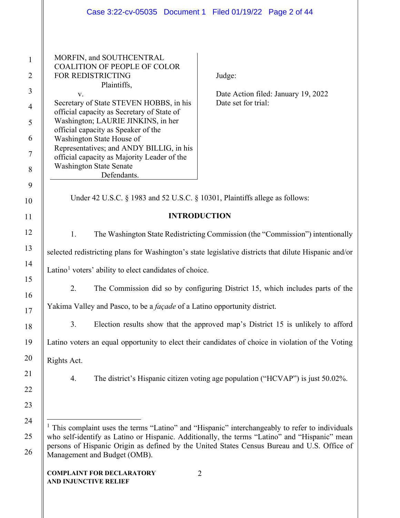<span id="page-1-0"></span>

|                | Case 3:22-cv-05035  Document 1  Filed 01/19/22  Page 2 of 44                                                                                                                                                                 |  |  |
|----------------|------------------------------------------------------------------------------------------------------------------------------------------------------------------------------------------------------------------------------|--|--|
|                |                                                                                                                                                                                                                              |  |  |
| $\mathbf{1}$   | MORFIN, and SOUTHCENTRAL<br><b>COALITION OF PEOPLE OF COLOR</b>                                                                                                                                                              |  |  |
| $\overline{2}$ | FOR REDISTRICTING<br>Judge:                                                                                                                                                                                                  |  |  |
| 3              | Plaintiffs,<br>Date Action filed: January 19, 2022<br>V.                                                                                                                                                                     |  |  |
| $\overline{4}$ | Secretary of State STEVEN HOBBS, in his<br>Date set for trial:<br>official capacity as Secretary of State of                                                                                                                 |  |  |
| 5              | Washington; LAURIE JINKINS, in her                                                                                                                                                                                           |  |  |
| 6              | official capacity as Speaker of the<br>Washington State House of                                                                                                                                                             |  |  |
| $\tau$         | Representatives; and ANDY BILLIG, in his<br>official capacity as Majority Leader of the                                                                                                                                      |  |  |
| 8              | <b>Washington State Senate</b><br>Defendants.                                                                                                                                                                                |  |  |
| 9              |                                                                                                                                                                                                                              |  |  |
| 10             | Under 42 U.S.C. § 1983 and 52 U.S.C. § 10301, Plaintiffs allege as follows:                                                                                                                                                  |  |  |
| 11             | <b>INTRODUCTION</b>                                                                                                                                                                                                          |  |  |
| 12             | 1.<br>The Washington State Redistricting Commission (the "Commission") intentionally                                                                                                                                         |  |  |
| 13             | selected redistricting plans for Washington's state legislative districts that dilute Hispanic and/or                                                                                                                        |  |  |
| 14             | Latino <sup>1</sup> voters' ability to elect candidates of choice.                                                                                                                                                           |  |  |
| 15             | The Commission did so by configuring District 15, which includes parts of the<br>2.                                                                                                                                          |  |  |
| 16             | Yakima Valley and Pasco, to be a <i>façade</i> of a Latino opportunity district.                                                                                                                                             |  |  |
| 17             |                                                                                                                                                                                                                              |  |  |
| 18             | Election results show that the approved map's District 15 is unlikely to afford<br>3.                                                                                                                                        |  |  |
| 19             | Latino voters an equal opportunity to elect their candidates of choice in violation of the Voting                                                                                                                            |  |  |
| 20             | Rights Act.                                                                                                                                                                                                                  |  |  |
| 21             | The district's Hispanic citizen voting age population ("HCVAP") is just 50.02%.<br>4.                                                                                                                                        |  |  |
| 22             |                                                                                                                                                                                                                              |  |  |
| 23             |                                                                                                                                                                                                                              |  |  |
| 24             | <sup>1</sup> This complaint uses the terms "Latino" and "Hispanic" interchangeably to refer to individuals                                                                                                                   |  |  |
| 25<br>26       | who self-identify as Latino or Hispanic. Additionally, the terms "Latino" and "Hispanic" mean<br>persons of Hispanic Origin as defined by the United States Census Bureau and U.S. Office of<br>Management and Budget (OMB). |  |  |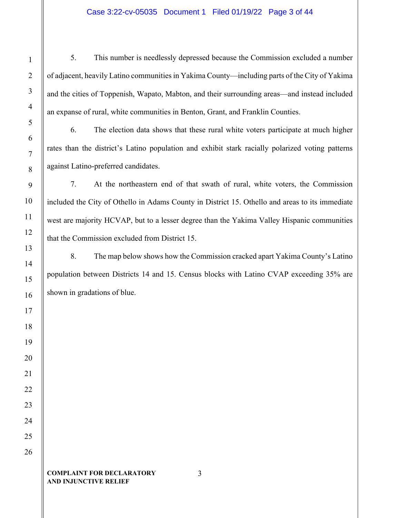# Case 3:22-cv-05035 Document 1 Filed 01/19/22 Page 3 of 44

5. This number is needlessly depressed because the Commission excluded a number of adjacent, heavily Latino communitiesin Yakima County—including parts of the City of Yakima and the cities of Toppenish, Wapato, Mabton, and their surrounding areas—and instead included an expanse of rural, white communities in Benton, Grant, and Franklin Counties.

6. The election data shows that these rural white voters participate at much higher rates than the district's Latino population and exhibit stark racially polarized voting patterns against Latino-preferred candidates.

7. At the northeastern end of that swath of rural, white voters, the Commission included the City of Othello in Adams County in District 15. Othello and areas to its immediate west are majority HCVAP, but to a lesser degree than the Yakima Valley Hispanic communities that the Commission excluded from District 15.

8. The map below shows how the Commission cracked apart Yakima County's Latino population between Districts 14 and 15. Census blocks with Latino CVAP exceeding 35% are shown in gradations of blue.

#### **COMPLAINT FOR DECLARATORY AND INJUNCTIVE RELIEF**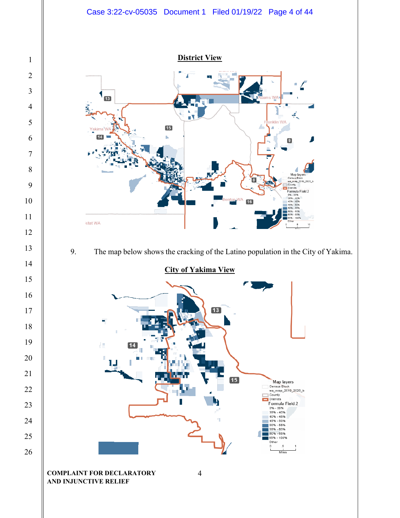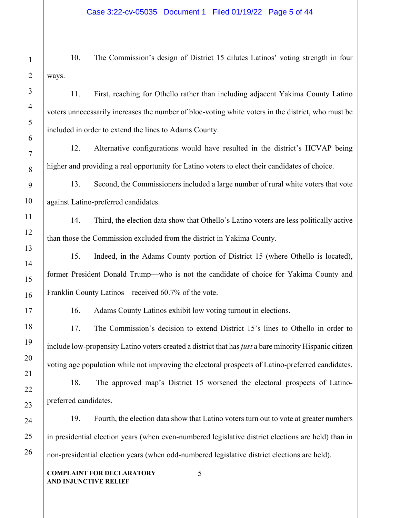10. The Commission's design of District 15 dilutes Latinos' voting strength in four ways.

11. First, reaching for Othello rather than including adjacent Yakima County Latino voters unnecessarily increases the number of bloc-voting white voters in the district, who must be included in order to extend the lines to Adams County.

12. Alternative configurations would have resulted in the district's HCVAP being higher and providing a real opportunity for Latino voters to elect their candidates of choice.

13. Second, the Commissioners included a large number of rural white voters that vote against Latino-preferred candidates.

14. Third, the election data show that Othello's Latino voters are less politically active than those the Commission excluded from the district in Yakima County.

15. Indeed, in the Adams County portion of District 15 (where Othello is located), former President Donald Trump—who is not the candidate of choice for Yakima County and Franklin County Latinos—received 60.7% of the vote.

16. Adams County Latinos exhibit low voting turnout in elections.

17. The Commission's decision to extend District 15's lines to Othello in order to include low-propensity Latino voters created a district that has *just* a bare minority Hispanic citizen voting age population while not improving the electoral prospects of Latino-preferred candidates.

18. The approved map's District 15 worsened the electoral prospects of Latinopreferred candidates.

19. Fourth, the election data show that Latino voters turn out to vote at greater numbers in presidential election years (when even-numbered legislative district elections are held) than in non-presidential election years (when odd-numbered legislative district elections are held).

5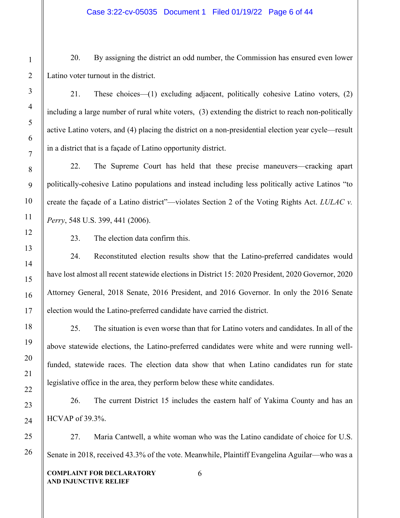20. By assigning the district an odd number, the Commission has ensured even lower Latino voter turnout in the district.

21. These choices—(1) excluding adjacent, politically cohesive Latino voters, (2) including a large number of rural white voters, (3) extending the district to reach non-politically active Latino voters, and (4) placing the district on a non-presidential election year cycle—result in a district that is a façade of Latino opportunity district.

22. The Supreme Court has held that these precise maneuvers—cracking apart politically-cohesive Latino populations and instead including less politically active Latinos "to create the façade of a Latino district"—violates Section 2 of the Voting Rights Act. *LULAC v. Perry*, 548 U.S. 399, 441 (2006).

23. The election data confirm this.

24. Reconstituted election results show that the Latino-preferred candidates would have lost almost all recent statewide elections in District 15: 2020 President, 2020 Governor, 2020 Attorney General, 2018 Senate, 2016 President, and 2016 Governor. In only the 2016 Senate election would the Latino-preferred candidate have carried the district.

25. The situation is even worse than that for Latino voters and candidates. In all of the above statewide elections, the Latino-preferred candidates were white and were running wellfunded, statewide races. The election data show that when Latino candidates run for state legislative office in the area, they perform below these white candidates.

26. The current District 15 includes the eastern half of Yakima County and has an HCVAP of 39.3%.

27. Maria Cantwell, a white woman who was the Latino candidate of choice for U.S. Senate in 2018, received 43.3% of the vote. Meanwhile, Plaintiff Evangelina Aguilar—who was a

6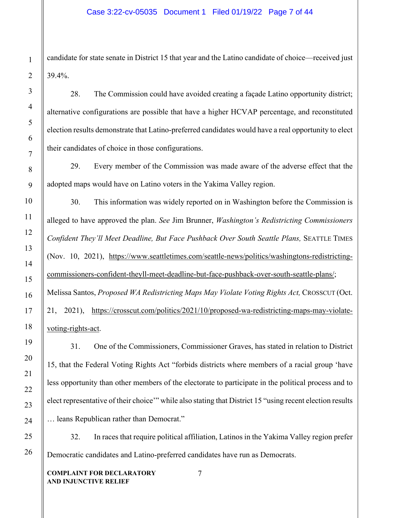candidate for state senate in District 15 that year and the Latino candidate of choice—received just 39.4%.

28. The Commission could have avoided creating a façade Latino opportunity district; alternative configurations are possible that have a higher HCVAP percentage, and reconstituted election results demonstrate that Latino-preferred candidates would have a real opportunity to elect their candidates of choice in those configurations.

29. Every member of the Commission was made aware of the adverse effect that the adopted maps would have on Latino voters in the Yakima Valley region.

30. This information was widely reported on in Washington before the Commission is alleged to have approved the plan. *See* Jim Brunner, *Washington's Redistricting Commissioners Confident They'll Meet Deadline, But Face Pushback Over South Seattle Plans,* SEATTLE TIMES (Nov. 10, 2021), [https://www.seattletimes.com/seattle-news/politics/washingtons-redistricting](about:blank)[commissioners-confident-theyll-meet-deadline-but-face-pushback-over-south-seattle-plans/;](about:blank) Melissa Santos, *Proposed WA Redistricting Maps May Violate Voting Rights Act*, CROSSCUT (Oct. 21, 2021), [https://crosscut.com/politics/2021/10/proposed-wa-redistricting-maps-may-violate](about:blank)[voting-rights-act.](about:blank)

31. One of the Commissioners, Commissioner Graves, has stated in relation to District 15, that the Federal Voting Rights Act "forbids districts where members of a racial group 'have less opportunity than other members of the electorate to participate in the political process and to elect representative of their choice'" while also stating that District 15 "using recent election results … leans Republican rather than Democrat."

32. In races that require political affiliation, Latinos in the Yakima Valley region prefer Democratic candidates and Latino-preferred candidates have run as Democrats.

7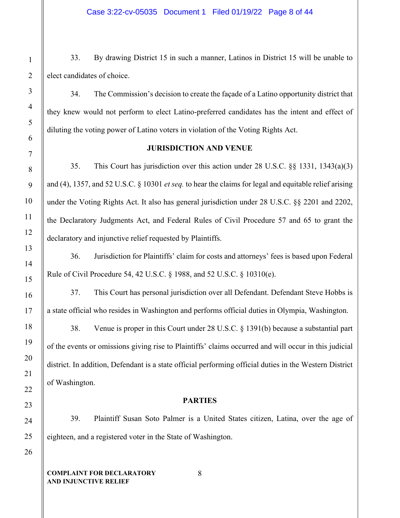33. By drawing District 15 in such a manner, Latinos in District 15 will be unable to elect candidates of choice.

34. The Commission's decision to create the façade of a Latino opportunity district that they knew would not perform to elect Latino-preferred candidates has the intent and effect of diluting the voting power of Latino voters in violation of the Voting Rights Act.

# **JURISDICTION AND VENUE**

35. This Court has jurisdiction over this action under 28 U.S.C. §§ 1331, 1343(a)(3) and (4), 1357, and 52 U.S.C. § 10301 *et seq.* to hear the claims for legal and equitable relief arising under the Voting Rights Act. It also has general jurisdiction under 28 U.S.C. §§ 2201 and 2202, the Declaratory Judgments Act, and Federal Rules of Civil Procedure 57 and 65 to grant the declaratory and injunctive relief requested by Plaintiffs.

36. Jurisdiction for Plaintiffs' claim for costs and attorneys' fees is based upon Federal Rule of Civil Procedure 54, 42 U.S.C. § 1988, and 52 U.S.C. § 10310(e).

37. This Court has personal jurisdiction over all Defendant. Defendant Steve Hobbs is a state official who resides in Washington and performs official duties in Olympia, Washington.

38. Venue is proper in this Court under 28 U.S.C. § 1391(b) because a substantial part of the events or omissions giving rise to Plaintiffs' claims occurred and will occur in this judicial district. In addition, Defendant is a state official performing official duties in the Western District of Washington.

# **PARTIES**

39. Plaintiff Susan Soto Palmer is a United States citizen, Latina, over the age of eighteen, and a registered voter in the State of Washington.

8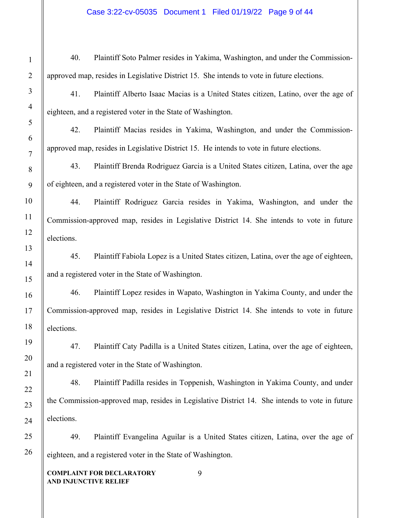# Case 3:22-cv-05035 Document 1 Filed 01/19/22 Page 9 of 44

| Į                               |
|---------------------------------|
| Ş                               |
| 4                               |
| 5                               |
| 6                               |
| 7                               |
| 8                               |
| 9                               |
| 10                              |
| 11                              |
| $\mathbf{l}'$<br>$\overline{2}$ |
| $1\overset{\prime}{.}$<br>z     |
| 14                              |
| 15                              |
| 16                              |
| $\frac{17}{2}$                  |
| 18                              |
| 19                              |
| 20                              |
| $\overline{21}$                 |
| 22                              |
| 23                              |
| $\overline{24}$                 |
| 25                              |
| 26                              |

40. Plaintiff Soto Palmer resides in Yakima, Washington, and under the Commissionapproved map, resides in Legislative District 15. She intends to vote in future elections.

41. Plaintiff Alberto Isaac Macias is a United States citizen, Latino, over the age of eighteen, and a registered voter in the State of Washington.

42. Plaintiff Macias resides in Yakima, Washington, and under the Commissionapproved map, resides in Legislative District 15. He intends to vote in future elections.

43. Plaintiff Brenda Rodriguez Garcia is a United States citizen, Latina, over the age of eighteen, and a registered voter in the State of Washington.

44. Plaintiff Rodriguez Garcia resides in Yakima, Washington, and under the Commission-approved map, resides in Legislative District 14. She intends to vote in future elections.

45. Plaintiff Fabiola Lopez is a United States citizen, Latina, over the age of eighteen, and a registered voter in the State of Washington.

46. Plaintiff Lopez resides in Wapato, Washington in Yakima County, and under the Commission-approved map, resides in Legislative District 14. She intends to vote in future elections.

47. Plaintiff Caty Padilla is a United States citizen, Latina, over the age of eighteen, and a registered voter in the State of Washington.

48. Plaintiff Padilla resides in Toppenish, Washington in Yakima County, and under the Commission-approved map, resides in Legislative District 14. She intends to vote in future elections.

49. Plaintiff Evangelina Aguilar is a United States citizen, Latina, over the age of eighteen, and a registered voter in the State of Washington.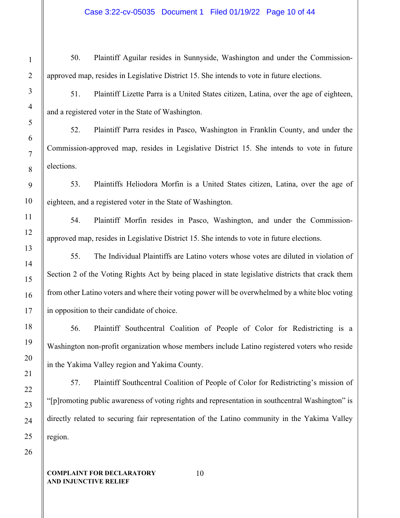# Case 3:22-cv-05035 Document 1 Filed 01/19/22 Page 10 of 44

50. Plaintiff Aguilar resides in Sunnyside, Washington and under the Commissionapproved map, resides in Legislative District 15. She intends to vote in future elections.

51. Plaintiff Lizette Parra is a United States citizen, Latina, over the age of eighteen, and a registered voter in the State of Washington.

52. Plaintiff Parra resides in Pasco, Washington in Franklin County, and under the Commission-approved map, resides in Legislative District 15. She intends to vote in future elections.

53. Plaintiffs Heliodora Morfin is a United States citizen, Latina, over the age of eighteen, and a registered voter in the State of Washington.

54. Plaintiff Morfin resides in Pasco, Washington, and under the Commissionapproved map, resides in Legislative District 15. She intends to vote in future elections.

55. The Individual Plaintiffs are Latino voters whose votes are diluted in violation of Section 2 of the Voting Rights Act by being placed in state legislative districts that crack them from other Latino voters and where their voting power will be overwhelmed by a white bloc voting in opposition to their candidate of choice.

56. Plaintiff Southcentral Coalition of People of Color for Redistricting is a Washington non-profit organization whose members include Latino registered voters who reside in the Yakima Valley region and Yakima County.

57. Plaintiff Southcentral Coalition of People of Color for Redistricting's mission of "[p]romoting public awareness of voting rights and representation in southcentral Washington" is directly related to securing fair representation of the Latino community in the Yakima Valley region.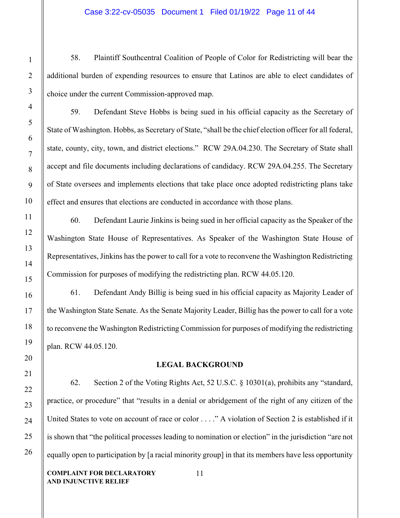# Case 3:22-cv-05035 Document 1 Filed 01/19/22 Page 11 of 44

58. Plaintiff Southcentral Coalition of People of Color for Redistricting will bear the additional burden of expending resources to ensure that Latinos are able to elect candidates of choice under the current Commission-approved map.

59. Defendant Steve Hobbs is being sued in his official capacity as the Secretary of State of Washington. Hobbs, as Secretary of State, "shall be the chief election officer for all federal, state, county, city, town, and district elections." RCW 29A.04.230. The Secretary of State shall accept and file documents including declarations of candidacy. RCW 29A.04.255. The Secretary of State oversees and implements elections that take place once adopted redistricting plans take effect and ensures that elections are conducted in accordance with those plans.

60. Defendant Laurie Jinkins is being sued in her official capacity as the Speaker of the Washington State House of Representatives. As Speaker of the Washington State House of Representatives, Jinkins has the power to call for a vote to reconvene the Washington Redistricting Commission for purposes of modifying the redistricting plan. RCW 44.05.120.

61. Defendant Andy Billig is being sued in his official capacity as Majority Leader of the Washington State Senate. As the Senate Majority Leader, Billig has the power to call for a vote to reconvene the Washington Redistricting Commission for purposes of modifying the redistricting plan. RCW 44.05.120.

### **LEGAL BACKGROUND**

62. Section 2 of the Voting Rights Act, 52 U.S.C. § 10301(a), prohibits any "standard, practice, or procedure" that "results in a denial or abridgement of the right of any citizen of the United States to vote on account of race or color . . . ." A violation of Section 2 is established if it is shown that "the political processes leading to nomination or election" in the jurisdiction "are not equally open to participation by [a racial minority group] in that its members have less opportunity

11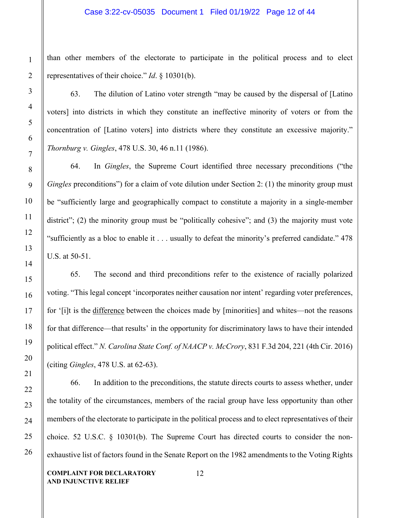than other members of the electorate to participate in the political process and to elect representatives of their choice." *Id*. § 10301(b).

63. The dilution of Latino voter strength "may be caused by the dispersal of [Latino voters] into districts in which they constitute an ineffective minority of voters or from the concentration of [Latino voters] into districts where they constitute an excessive majority." *Thornburg v. Gingles*, 478 U.S. 30, 46 n.11 (1986).

64. In *Gingles*, the Supreme Court identified three necessary preconditions ("the *Gingles* preconditions") for a claim of vote dilution under Section 2: (1) the minority group must be "sufficiently large and geographically compact to constitute a majority in a single-member district"; (2) the minority group must be "politically cohesive"; and (3) the majority must vote "sufficiently as a bloc to enable it . . . usually to defeat the minority's preferred candidate." 478 U.S. at 50-51.

65. The second and third preconditions refer to the existence of racially polarized voting. "This legal concept 'incorporates neither causation nor intent' regarding voter preferences, for '[i]t is the difference between the choices made by [minorities] and whites—not the reasons for that difference—that results' in the opportunity for discriminatory laws to have their intended political effect." *N. Carolina State Conf. of NAACP v. McCrory*, 831 F.3d 204, 221 (4th Cir. 2016) (citing *Gingles*, 478 U.S. at 62-63).

66. In addition to the preconditions, the statute directs courts to assess whether, under the totality of the circumstances, members of the racial group have less opportunity than other members of the electorate to participate in the political process and to elect representatives of their choice. 52 U.S.C. § 10301(b). The Supreme Court has directed courts to consider the nonexhaustive list of factors found in the Senate Report on the 1982 amendments to the Voting Rights

**COMPLAINT FOR DECLARATORY AND INJUNCTIVE RELIEF**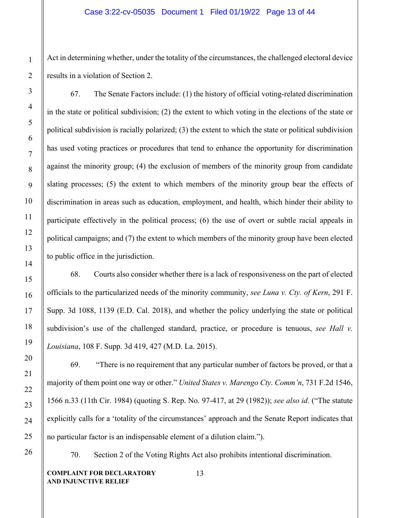Act in determining whether, under the totality of the circumstances, the challenged electoral device results in a violation of Section 2.

67. The Senate Factors include: (1) the history of official voting-related discrimination in the state or political subdivision; (2) the extent to which voting in the elections of the state or political subdivision is racially polarized; (3) the extent to which the state or political subdivision has used voting practices or procedures that tend to enhance the opportunity for discrimination against the minority group; (4) the exclusion of members of the minority group from candidate slating processes; (5) the extent to which members of the minority group bear the effects of discrimination in areas such as education, employment, and health, which hinder their ability to participate effectively in the political process; (6) the use of overt or subtle racial appeals in political campaigns; and (7) the extent to which members of the minority group have been elected to public office in the jurisdiction.

68. Courts also consider whether there is a lack of responsiveness on the part of elected officials to the particularized needs of the minority community, *see Luna v. Cty. of Kern*, 291 F. Supp. 3d 1088, 1139 (E.D. Cal. 2018), and whether the policy underlying the state or political subdivision's use of the challenged standard, practice, or procedure is tenuous, *see Hall v. Louisiana*, 108 F. Supp. 3d 419, 427 (M.D. La. 2015).

69. "There is no requirement that any particular number of factors be proved, or that a majority of them point one way or other." *United States v. Marengo Cty. Comm'n*, 731 F.2d 1546, 1566 n.33 (11th Cir. 1984) (quoting S. Rep. No. 97-417, at 29 (1982)); *see also id*. ("The statute explicitly calls for a 'totality of the circumstances' approach and the Senate Report indicates that no particular factor is an indispensable element of a dilution claim.").

70. Section 2 of the Voting Rights Act also prohibits intentional discrimination.

**COMPLAINT FOR DECLARATORY AND INJUNCTIVE RELIEF**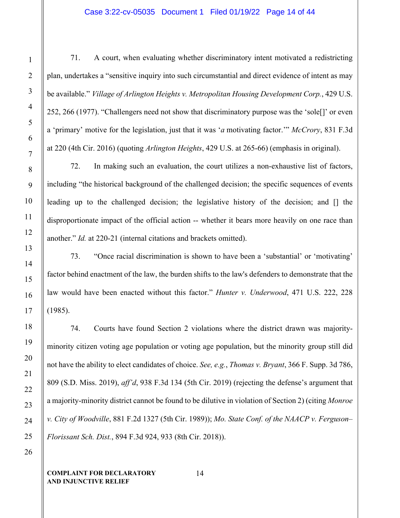## Case 3:22-cv-05035 Document 1 Filed 01/19/22 Page 14 of 44

71. A court, when evaluating whether discriminatory intent motivated a redistricting plan, undertakes a "sensitive inquiry into such circumstantial and direct evidence of intent as may be available." *Village of Arlington Heights v. Metropolitan Housing Development Corp.*, 429 U.S. 252, 266 (1977). "Challengers need not show that discriminatory purpose was the 'sole[]' or even a 'primary' motive for the legislation, just that it was '*a* motivating factor.'" *McCrory*, 831 F.3d at 220 (4th Cir. 2016) (quoting *Arlington Heights*, 429 U.S. at 265-66) (emphasis in original).

72. In making such an evaluation, the court utilizes a non-exhaustive list of factors, including "the historical background of the challenged decision; the specific sequences of events leading up to the challenged decision; the legislative history of the decision; and [] the disproportionate impact of the official action -- whether it bears more heavily on one race than another." *Id.* at 220-21 (internal citations and brackets omitted).

73. "Once racial discrimination is shown to have been a 'substantial' or 'motivating' factor behind enactment of the law, the burden shifts to the law's defenders to demonstrate that the law would have been enacted without this factor." *Hunter v. Underwood*, 471 U.S. 222, 228 (1985).

74. Courts have found Section 2 violations where the district drawn was majorityminority citizen voting age population or voting age population, but the minority group still did not have the ability to elect candidates of choice. *See, e.g.*, *Thomas v. Bryant*, 366 F. Supp. 3d 786, 809 (S.D. Miss. 2019), *aff'd*, 938 F.3d 134 (5th Cir. 2019) (rejecting the defense's argument that a majority-minority district cannot be found to be dilutive in violation of Section 2) (citing *Monroe v. City of Woodville*, 881 F.2d 1327 (5th Cir. 1989)); *Mo. State Conf. of the NAACP v. Ferguson– Florissant Sch. Dist.*, 894 F.3d 924, 933 (8th Cir. 2018)).

1

2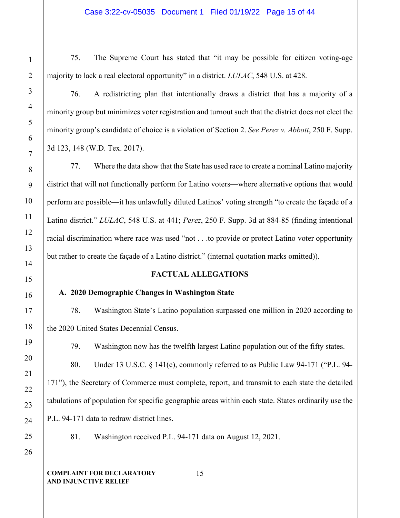75. The Supreme Court has stated that "it may be possible for citizen voting-age majority to lack a real electoral opportunity" in a district. *LULAC*, 548 U.S. at 428.

76. A redistricting plan that intentionally draws a district that has a majority of a minority group but minimizes voter registration and turnout such that the district does not elect the minority group's candidate of choice is a violation of Section 2. *See Perez v. Abbott*, 250 F. Supp. 3d 123, 148 (W.D. Tex. 2017).

77. Where the data show that the State has used race to create a nominal Latino majority district that will not functionally perform for Latino voters—where alternative options that would perform are possible—it has unlawfully diluted Latinos' voting strength "to create the façade of a Latino district." *LULAC*, 548 U.S. at 441; *Perez*, 250 F. Supp. 3d at 884-85 (finding intentional racial discrimination where race was used "not . . .to provide or protect Latino voter opportunity but rather to create the façade of a Latino district." (internal quotation marks omitted)).

# **FACTUAL ALLEGATIONS**

# **A. 2020 Demographic Changes in Washington State**

78. Washington State's Latino population surpassed one million in 2020 according to the 2020 United States Decennial Census.

79. Washington now has the twelfth largest Latino population out of the fifty states.

80. Under 13 U.S.C. § 141(c), commonly referred to as Public Law 94-171 ("P.L. 94- 171"), the Secretary of Commerce must complete, report, and transmit to each state the detailed tabulations of population for specific geographic areas within each state. States ordinarily use the P.L. 94-171 data to redraw district lines.

81. Washington received P.L. 94-171 data on August 12, 2021.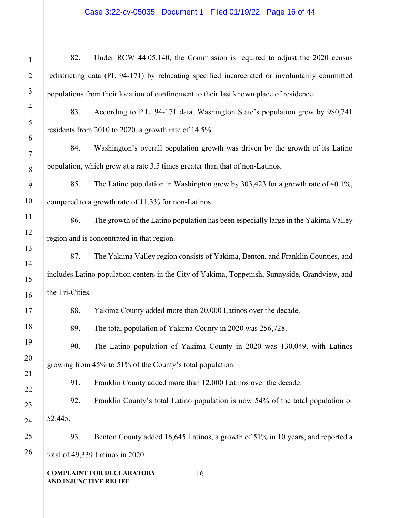# Case 3:22-cv-05035 Document 1 Filed 01/19/22 Page 16 of 44

| $\mathbf 1$                   | 82.                                                                                            | Under RCW 44.05.140, the Commission is required to adjust the 2020 census          |  |  |
|-------------------------------|------------------------------------------------------------------------------------------------|------------------------------------------------------------------------------------|--|--|
| $\overline{c}$                | redistricting data (PL 94-171) by relocating specified incarcerated or involuntarily committed |                                                                                    |  |  |
| $\overline{\mathbf{3}}$       | populations from their location of confinement to their last known place of residence.         |                                                                                    |  |  |
| $\overline{\mathbf{f}}$       | 83.                                                                                            | According to P.L. 94-171 data, Washington State's population grew by 980,741       |  |  |
| 5                             | residents from 2010 to 2020, a growth rate of 14.5%.                                           |                                                                                    |  |  |
| 6<br>7                        | 84.                                                                                            | Washington's overall population growth was driven by the growth of its Latino      |  |  |
| 8                             |                                                                                                | population, which grew at a rate 3.5 times greater than that of non-Latinos.       |  |  |
| 9                             | 85.                                                                                            | The Latino population in Washington grew by 303,423 for a growth rate of 40.1%,    |  |  |
| $\overline{0}$                |                                                                                                | compared to a growth rate of 11.3% for non-Latinos.                                |  |  |
| $\mathbf{1}$                  | 86.                                                                                            | The growth of the Latino population has been especially large in the Yakima Valley |  |  |
| $\overline{c}$                | region and is concentrated in that region.                                                     |                                                                                    |  |  |
| $\overline{\mathbf{3}}$<br>4  | 87.                                                                                            | The Yakima Valley region consists of Yakima, Benton, and Franklin Counties, and    |  |  |
| 5                             | includes Latino population centers in the City of Yakima, Toppenish, Sunnyside, Grandview, and |                                                                                    |  |  |
| 6                             | the Tri-Cities.                                                                                |                                                                                    |  |  |
| 7                             | 88.                                                                                            | Yakima County added more than 20,000 Latinos over the decade.                      |  |  |
| 8                             | 89.                                                                                            | The total population of Yakima County in 2020 was 256,728.                         |  |  |
| 9                             | 90.                                                                                            | The Latino population of Yakima County in 2020 was 130,049, with Latinos           |  |  |
| 0                             | growing from 45% to 51% of the County's total population.                                      |                                                                                    |  |  |
| $\mathbf 1$<br>$\overline{c}$ | 91.                                                                                            | Franklin County added more than 12,000 Latinos over the decade.                    |  |  |
| $\overline{\mathbf{3}}$       | 92.                                                                                            | Franklin County's total Latino population is now 54% of the total population or    |  |  |
| 4                             | 52,445.                                                                                        |                                                                                    |  |  |
| 5                             | 93.                                                                                            | Benton County added 16,645 Latinos, a growth of 51% in 10 years, and reported a    |  |  |
| 6                             |                                                                                                | total of 49,339 Latinos in 2020.                                                   |  |  |
|                               | AND INJUNCTIVE RELIEF                                                                          | <b>COMPLAINT FOR DECLARATORY</b><br>16                                             |  |  |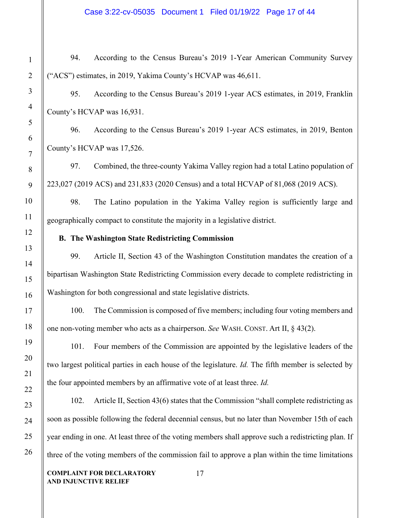# Case 3:22-cv-05035 Document 1 Filed 01/19/22 Page 17 of 44

94. According to the Census Bureau's 2019 1-Year American Community Survey ("ACS") estimates, in 2019, Yakima County's HCVAP was 46,611.

95. According to the Census Bureau's 2019 1-year ACS estimates, in 2019, Franklin County's HCVAP was 16,931.

96. According to the Census Bureau's 2019 1-year ACS estimates, in 2019, Benton County's HCVAP was 17,526.

97. Combined, the three-county Yakima Valley region had a total Latino population of 223,027 (2019 ACS) and 231,833 (2020 Census) and a total HCVAP of 81,068 (2019 ACS).

98. The Latino population in the Yakima Valley region is sufficiently large and geographically compact to constitute the majority in a legislative district.

# **B. The Washington State Redistricting Commission**

99. Article II, Section 43 of the Washington Constitution mandates the creation of a bipartisan Washington State Redistricting Commission every decade to complete redistricting in Washington for both congressional and state legislative districts.

100. The Commission is composed of five members; including four voting members and one non-voting member who acts as a chairperson. *See* WASH. CONST. Art II, § 43(2).

101. Four members of the Commission are appointed by the legislative leaders of the two largest political parties in each house of the legislature. *Id.* The fifth member is selected by the four appointed members by an affirmative vote of at least three. *Id.* 

102. Article II, Section 43(6) states that the Commission "shall complete redistricting as soon as possible following the federal decennial census, but no later than November 15th of each year ending in one. At least three of the voting members shall approve such a redistricting plan. If three of the voting members of the commission fail to approve a plan within the time limitations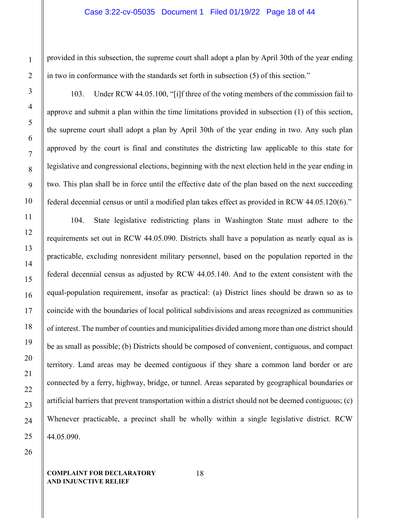## Case 3:22-cv-05035 Document 1 Filed 01/19/22 Page 18 of 44

provided in this subsection, the supreme court shall adopt a plan by April 30th of the year ending in two in conformance with the standards set forth in subsection (5) of this section."

103. Under RCW 44.05.100, "[i]f three of the voting members of the commission fail to approve and submit a plan within the time limitations provided in subsection (1) of this section, the supreme court shall adopt a plan by April 30th of the year ending in two. Any such plan approved by the court is final and constitutes the districting law applicable to this state for legislative and congressional elections, beginning with the next election held in the year ending in two. This plan shall be in force until the effective date of the plan based on the next succeeding federal decennial census or until a modified plan takes effect as provided in RCW 44.05.120(6)."

104. State legislative redistricting plans in Washington State must adhere to the requirements set out in RCW 44.05.090. Districts shall have a population as nearly equal as is practicable, excluding nonresident military personnel, based on the population reported in the federal decennial census as adjusted by RCW 44.05.140. And to the extent consistent with the equal-population requirement, insofar as practical: (a) District lines should be drawn so as to coincide with the boundaries of local political subdivisions and areas recognized as communities of interest. The number of counties and municipalities divided among more than one district should be as small as possible; (b) Districts should be composed of convenient, contiguous, and compact territory. Land areas may be deemed contiguous if they share a common land border or are connected by a ferry, highway, bridge, or tunnel. Areas separated by geographical boundaries or artificial barriers that prevent transportation within a district should not be deemed contiguous; (c) Whenever practicable, a precinct shall be wholly within a single legislative district. RCW 44.05.090.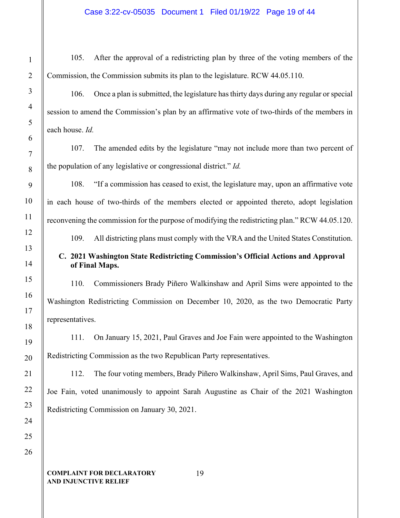105. After the approval of a redistricting plan by three of the voting members of the Commission, the Commission submits its plan to the legislature. RCW 44.05.110.

106. Once a plan is submitted, the legislature has thirty days during any regular or special session to amend the Commission's plan by an affirmative vote of two-thirds of the members in each house. *Id.* 

107. The amended edits by the legislature "may not include more than two percent of the population of any legislative or congressional district." *Id.* 

108. "If a commission has ceased to exist, the legislature may, upon an affirmative vote in each house of two-thirds of the members elected or appointed thereto, adopt legislation reconvening the commission for the purpose of modifying the redistricting plan." RCW 44.05.120.

109. All districting plans must comply with the VRA and the United States Constitution.

# **C. 2021 Washington State Redistricting Commission's Official Actions and Approval of Final Maps.**

110. Commissioners Brady Piñero Walkinshaw and April Sims were appointed to the Washington Redistricting Commission on December 10, 2020, as the two Democratic Party representatives.

111. On January 15, 2021, Paul Graves and Joe Fain were appointed to the Washington Redistricting Commission as the two Republican Party representatives.

112. The four voting members, Brady Piñero Walkinshaw, April Sims, Paul Graves, and Joe Fain, voted unanimously to appoint Sarah Augustine as Chair of the 2021 Washington Redistricting Commission on January 30, 2021.

#### **COMPLAINT FOR DECLARATORY AND INJUNCTIVE RELIEF**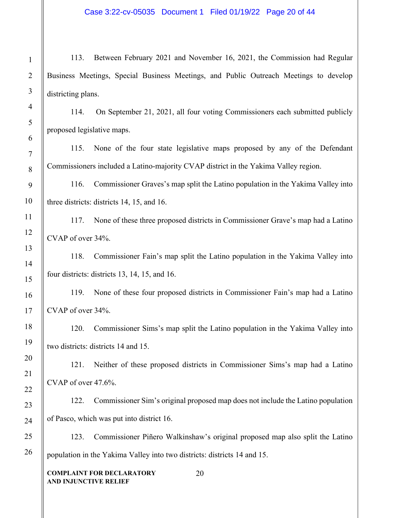# Case 3:22-cv-05035 Document 1 Filed 01/19/22 Page 20 of 44

113. Between February 2021 and November 16, 2021, the Commission had Regular Business Meetings, Special Business Meetings, and Public Outreach Meetings to develop districting plans.

114. On September 21, 2021, all four voting Commissioners each submitted publicly proposed legislative maps.

115. None of the four state legislative maps proposed by any of the Defendant Commissioners included a Latino-majority CVAP district in the Yakima Valley region.

116. Commissioner Graves's map split the Latino population in the Yakima Valley into three districts: districts 14, 15, and 16.

117. None of these three proposed districts in Commissioner Grave's map had a Latino CVAP of over 34%.

118. Commissioner Fain's map split the Latino population in the Yakima Valley into four districts: districts 13, 14, 15, and 16.

119. None of these four proposed districts in Commissioner Fain's map had a Latino CVAP of over 34%.

120. Commissioner Sims's map split the Latino population in the Yakima Valley into two districts: districts 14 and 15.

121. Neither of these proposed districts in Commissioner Sims's map had a Latino CVAP of over 47.6%.

122. Commissioner Sim's original proposed map does not include the Latino population of Pasco, which was put into district 16.

123. Commissioner Piñero Walkinshaw's original proposed map also split the Latino population in the Yakima Valley into two districts: districts 14 and 15.

20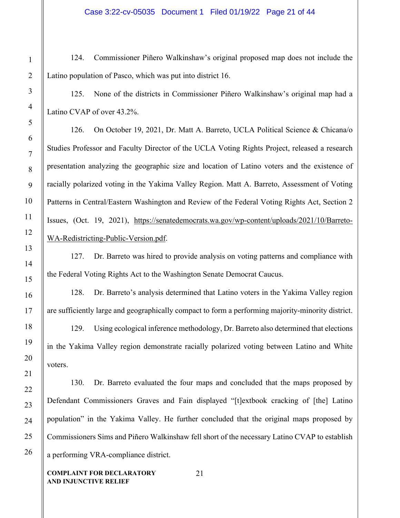124. Commissioner Piñero Walkinshaw's original proposed map does not include the Latino population of Pasco, which was put into district 16.

125. None of the districts in Commissioner Piñero Walkinshaw's original map had a Latino CVAP of over 43.2%.

126. On October 19, 2021, Dr. Matt A. Barreto, UCLA Political Science & Chicana/o Studies Professor and Faculty Director of the UCLA Voting Rights Project, released a research presentation analyzing the geographic size and location of Latino voters and the existence of racially polarized voting in the Yakima Valley Region. Matt A. Barreto, Assessment of Voting Patterns in Central/Eastern Washington and Review of the Federal Voting Rights Act, Section 2 Issues, (Oct. 19, 2021), [https://senatedemocrats.wa.gov/wp-content/uploads/2021/10/Barreto-](about:blank)[WA-Redistricting-Public-Version.pdf.](about:blank)

127. Dr. Barreto was hired to provide analysis on voting patterns and compliance with the Federal Voting Rights Act to the Washington Senate Democrat Caucus.

128. Dr. Barreto's analysis determined that Latino voters in the Yakima Valley region are sufficiently large and geographically compact to form a performing majority-minority district.

129. Using ecological inference methodology, Dr. Barreto also determined that elections in the Yakima Valley region demonstrate racially polarized voting between Latino and White voters.

130. Dr. Barreto evaluated the four maps and concluded that the maps proposed by Defendant Commissioners Graves and Fain displayed "[t]extbook cracking of [the] Latino population" in the Yakima Valley. He further concluded that the original maps proposed by Commissioners Sims and Piñero Walkinshaw fell short of the necessary Latino CVAP to establish a performing VRA-compliance district.

21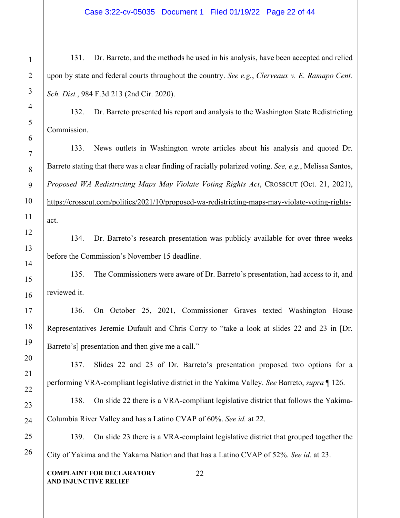# Case 3:22-cv-05035 Document 1 Filed 01/19/22 Page 22 of 44

131. Dr. Barreto, and the methods he used in his analysis, have been accepted and relied upon by state and federal courts throughout the country. *See e.g.*, *Clerveaux v. E. Ramapo Cent. Sch. Dist.*, 984 F.3d 213 (2nd Cir. 2020).

132. Dr. Barreto presented his report and analysis to the Washington State Redistricting Commission.

133. News outlets in Washington wrote articles about his analysis and quoted Dr. Barreto stating that there was a clear finding of racially polarized voting. *See, e.g.*, Melissa Santos, *Proposed WA Redistricting Maps May Violate Voting Rights Act*, CROSSCUT (Oct. 21, 2021), [https://crosscut.com/politics/2021/10/proposed-wa-redistricting-maps-may-violate-voting-rights](about:blank)[act.](about:blank)

134. Dr. Barreto's research presentation was publicly available for over three weeks before the Commission's November 15 deadline.

135. The Commissioners were aware of Dr. Barreto's presentation, had access to it, and reviewed it.

136. On October 25, 2021, Commissioner Graves texted Washington House Representatives Jeremie Dufault and Chris Corry to "take a look at slides 22 and 23 in [Dr. Barreto's] presentation and then give me a call."

137. Slides 22 and 23 of Dr. Barreto's presentation proposed two options for a performing VRA-compliant legislative district in the Yakima Valley. *See* Barreto, *supra* ¶ 126.

138. On slide 22 there is a VRA-compliant legislative district that follows the Yakima-Columbia River Valley and has a Latino CVAP of 60%. *See id.* at 22.

139. On slide 23 there is a VRA-complaint legislative district that grouped together the City of Yakima and the Yakama Nation and that has a Latino CVAP of 52%. *See id.* at 23.

22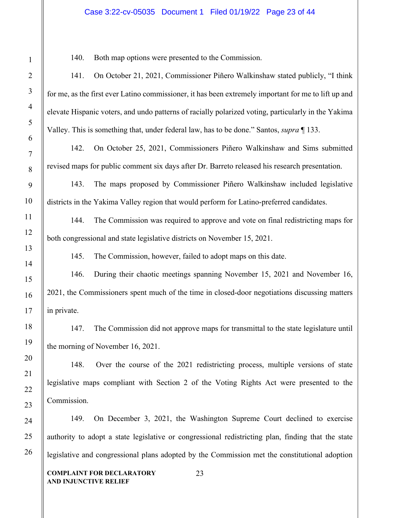### Case 3:22-cv-05035 Document 1 Filed 01/19/22 Page 23 of 44

140. Both map options were presented to the Commission.

141. On October 21, 2021, Commissioner Piñero Walkinshaw stated publicly, "I think for me, as the first ever Latino commissioner, it has been extremely important for me to lift up and elevate Hispanic voters, and undo patterns of racially polarized voting, particularly in the Yakima Valley. This is something that, under federal law, has to be done." Santos, *supra* ¶ 133.

142. On October 25, 2021, Commissioners Piñero Walkinshaw and Sims submitted revised maps for public comment six days after Dr. Barreto released his research presentation.

143. The maps proposed by Commissioner Piñero Walkinshaw included legislative districts in the Yakima Valley region that would perform for Latino-preferred candidates.

144. The Commission was required to approve and vote on final redistricting maps for both congressional and state legislative districts on November 15, 2021.

145. The Commission, however, failed to adopt maps on this date.

146. During their chaotic meetings spanning November 15, 2021 and November 16, 2021, the Commissioners spent much of the time in closed-door negotiations discussing matters in private.

147. The Commission did not approve maps for transmittal to the state legislature until the morning of November 16, 2021.

148. Over the course of the 2021 redistricting process, multiple versions of state legislative maps compliant with Section 2 of the Voting Rights Act were presented to the Commission.

149. On December 3, 2021, the Washington Supreme Court declined to exercise authority to adopt a state legislative or congressional redistricting plan, finding that the state legislative and congressional plans adopted by the Commission met the constitutional adoption

23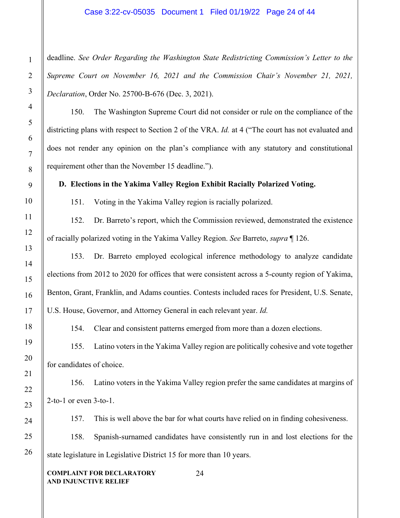### Case 3:22-cv-05035 Document 1 Filed 01/19/22 Page 24 of 44

deadline. *See Order Regarding the Washington State Redistricting Commission's Letter to the Supreme Court on November 16, 2021 and the Commission Chair's November 21, 2021, Declaration*, Order No. 25700-B-676 (Dec. 3, 2021).

150. The Washington Supreme Court did not consider or rule on the compliance of the districting plans with respect to Section 2 of the VRA. *Id.* at 4 ("The court has not evaluated and does not render any opinion on the plan's compliance with any statutory and constitutional requirement other than the November 15 deadline.").

**D. Elections in the Yakima Valley Region Exhibit Racially Polarized Voting.**

151. Voting in the Yakima Valley region is racially polarized.

152. Dr. Barreto's report, which the Commission reviewed, demonstrated the existence of racially polarized voting in the Yakima Valley Region. *See* Barreto, *supra* ¶ 126.

153. Dr. Barreto employed ecological inference methodology to analyze candidate elections from 2012 to 2020 for offices that were consistent across a 5-county region of Yakima, Benton, Grant, Franklin, and Adams counties. Contests included races for President, U.S. Senate, U.S. House, Governor, and Attorney General in each relevant year. *Id.* 

154. Clear and consistent patterns emerged from more than a dozen elections.

155. Latino voters in the Yakima Valley region are politically cohesive and vote together for candidates of choice.

156. Latino voters in the Yakima Valley region prefer the same candidates at margins of 2-to-1 or even 3-to-1.

157. This is well above the bar for what courts have relied on in finding cohesiveness.

158. Spanish-surnamed candidates have consistently run in and lost elections for the state legislature in Legislative District 15 for more than 10 years.

24

**COMPLAINT FOR DECLARATORY AND INJUNCTIVE RELIEF**

1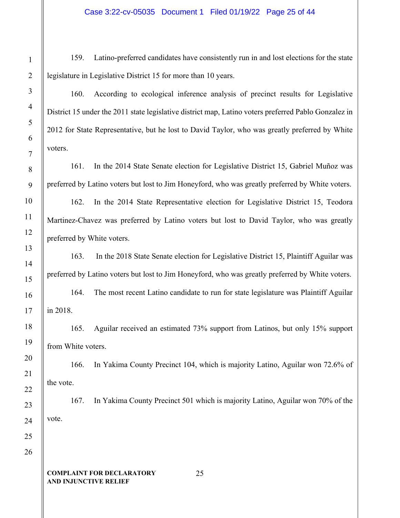159. Latino-preferred candidates have consistently run in and lost elections for the state legislature in Legislative District 15 for more than 10 years.

160. According to ecological inference analysis of precinct results for Legislative District 15 under the 2011 state legislative district map, Latino voters preferred Pablo Gonzalez in 2012 for State Representative, but he lost to David Taylor, who was greatly preferred by White voters.

161. In the 2014 State Senate election for Legislative District 15, Gabriel Muñoz was preferred by Latino voters but lost to Jim Honeyford, who was greatly preferred by White voters.

162. In the 2014 State Representative election for Legislative District 15, Teodora Martinez-Chavez was preferred by Latino voters but lost to David Taylor, who was greatly preferred by White voters.

163. In the 2018 State Senate election for Legislative District 15, Plaintiff Aguilar was preferred by Latino voters but lost to Jim Honeyford, who was greatly preferred by White voters. 164. The most recent Latino candidate to run for state legislature was Plaintiff Aguilar in 2018.

165. Aguilar received an estimated 73% support from Latinos, but only 15% support from White voters.

166. In Yakima County Precinct 104, which is majority Latino, Aguilar won 72.6% of the vote.

167. In Yakima County Precinct 501 which is majority Latino, Aguilar won 70% of the vote.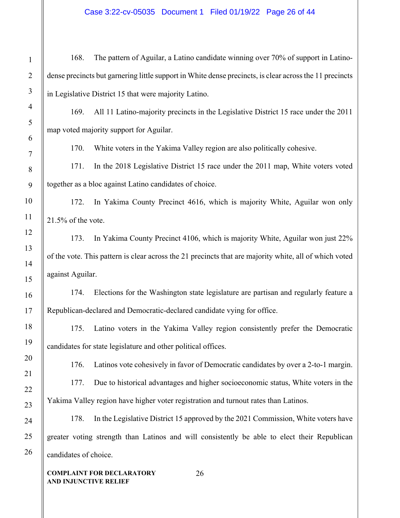# Case 3:22-cv-05035 Document 1 Filed 01/19/22 Page 26 of 44

168. The pattern of Aguilar, a Latino candidate winning over 70% of support in Latinodense precincts but garnering little support in White dense precincts, is clear across the 11 precincts in Legislative District 15 that were majority Latino. 169. All 11 Latino-majority precincts in the Legislative District 15 race under the 2011 map voted majority support for Aguilar. 170. White voters in the Yakima Valley region are also politically cohesive. 171. In the 2018 Legislative District 15 race under the 2011 map, White voters voted together as a bloc against Latino candidates of choice. 172. In Yakima County Precinct 4616, which is majority White, Aguilar won only 21.5% of the vote. 173. In Yakima County Precinct 4106, which is majority White, Aguilar won just 22% of the vote. This pattern is clear across the 21 precincts that are majority white, all of which voted against Aguilar. 174. Elections for the Washington state legislature are partisan and regularly feature a Republican-declared and Democratic-declared candidate vying for office. 175. Latino voters in the Yakima Valley region consistently prefer the Democratic candidates for state legislature and other political offices. 176. Latinos vote cohesively in favor of Democratic candidates by over a 2-to-1 margin. 177. Due to historical advantages and higher socioeconomic status, White voters in the Yakima Valley region have higher voter registration and turnout rates than Latinos. 178. In the Legislative District 15 approved by the 2021 Commission, White voters have greater voting strength than Latinos and will consistently be able to elect their Republican candidates of choice.

26

**COMPLAINT FOR DECLARATORY AND INJUNCTIVE RELIEF**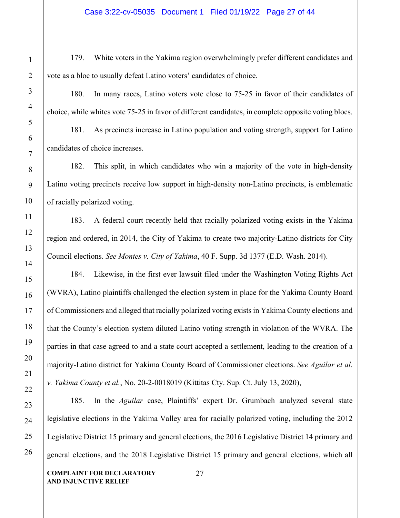179. White voters in the Yakima region overwhelmingly prefer different candidates and vote as a bloc to usually defeat Latino voters' candidates of choice.

180. In many races, Latino voters vote close to 75-25 in favor of their candidates of choice, while whites vote 75-25 in favor of different candidates, in complete opposite voting blocs.

181. As precincts increase in Latino population and voting strength, support for Latino candidates of choice increases.

182. This split, in which candidates who win a majority of the vote in high-density Latino voting precincts receive low support in high-density non-Latino precincts, is emblematic of racially polarized voting.

183. A federal court recently held that racially polarized voting exists in the Yakima region and ordered, in 2014, the City of Yakima to create two majority-Latino districts for City Council elections. *See Montes v. City of Yakima*, 40 F. Supp. 3d 1377 (E.D. Wash. 2014).

184. Likewise, in the first ever lawsuit filed under the Washington Voting Rights Act (WVRA), Latino plaintiffs challenged the election system in place for the Yakima County Board of Commissioners and alleged that racially polarized voting exists in Yakima County elections and that the County's election system diluted Latino voting strength in violation of the WVRA. The parties in that case agreed to and a state court accepted a settlement, leading to the creation of a majority-Latino district for Yakima County Board of Commissioner elections. *See Aguilar et al. v. Yakima County et al.*, No. 20-2-0018019 (Kittitas Cty. Sup. Ct. July 13, 2020),

185. In the *Aguilar* case, Plaintiffs' expert Dr. Grumbach analyzed several state legislative elections in the Yakima Valley area for racially polarized voting, including the 2012 Legislative District 15 primary and general elections, the 2016 Legislative District 14 primary and general elections, and the 2018 Legislative District 15 primary and general elections, which all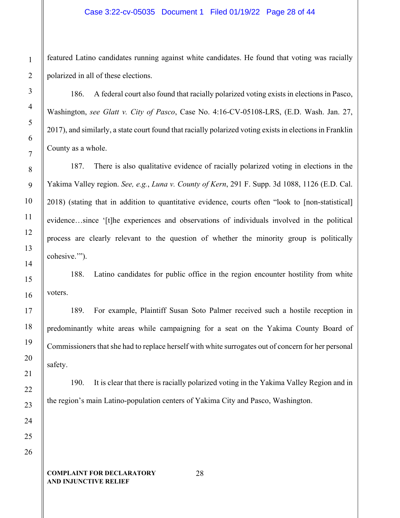featured Latino candidates running against white candidates. He found that voting was racially polarized in all of these elections.

186. A federal court also found that racially polarized voting exists in elections in Pasco, Washington, *see Glatt v. City of Pasco*, Case No. 4:16-CV-05108-LRS, (E.D. Wash. Jan. 27, 2017), and similarly, a state court found that racially polarized voting exists in elections in Franklin County as a whole.

187. There is also qualitative evidence of racially polarized voting in elections in the Yakima Valley region. *See, e.g.*, *Luna v. County of Kern*, 291 F. Supp. 3d 1088, 1126 (E.D. Cal. 2018) (stating that in addition to quantitative evidence, courts often "look to [non-statistical] evidence…since '[t]he experiences and observations of individuals involved in the political process are clearly relevant to the question of whether the minority group is politically cohesive."").

188. Latino candidates for public office in the region encounter hostility from white voters.

189. For example, Plaintiff Susan Soto Palmer received such a hostile reception in predominantly white areas while campaigning for a seat on the Yakima County Board of Commissioners that she had to replace herself with white surrogates out of concern for her personal safety.

190. It is clear that there is racially polarized voting in the Yakima Valley Region and in the region's main Latino-population centers of Yakima City and Pasco, Washington.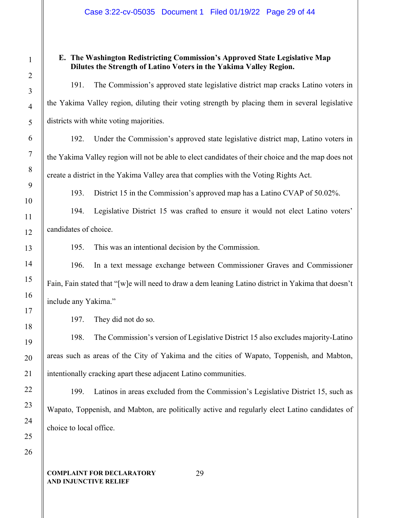# **E. The Washington Redistricting Commission's Approved State Legislative Map Dilutes the Strength of Latino Voters in the Yakima Valley Region.**

191. The Commission's approved state legislative district map cracks Latino voters in the Yakima Valley region, diluting their voting strength by placing them in several legislative districts with white voting majorities.

192. Under the Commission's approved state legislative district map, Latino voters in the Yakima Valley region will not be able to elect candidates of their choice and the map does not create a district in the Yakima Valley area that complies with the Voting Rights Act.

193. District 15 in the Commission's approved map has a Latino CVAP of 50.02%.

194. Legislative District 15 was crafted to ensure it would not elect Latino voters' candidates of choice.

195. This was an intentional decision by the Commission.

196. In a text message exchange between Commissioner Graves and Commissioner Fain, Fain stated that "[w]e will need to draw a dem leaning Latino district in Yakima that doesn't include any Yakima."

197. They did not do so.

198. The Commission's version of Legislative District 15 also excludes majority-Latino areas such as areas of the City of Yakima and the cities of Wapato, Toppenish, and Mabton, intentionally cracking apart these adjacent Latino communities.

199. Latinos in areas excluded from the Commission's Legislative District 15, such as Wapato, Toppenish, and Mabton, are politically active and regularly elect Latino candidates of choice to local office.

### **COMPLAINT FOR DECLARATORY AND INJUNCTIVE RELIEF**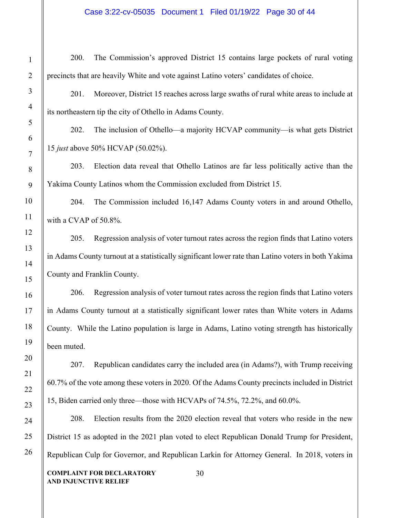# Case 3:22-cv-05035 Document 1 Filed 01/19/22 Page 30 of 44

| $\overline{2}$                          |
|-----------------------------------------|
| z                                       |
| 4                                       |
| 5                                       |
| 6                                       |
| $\overline{7}$                          |
| 8                                       |
| 9                                       |
| 10                                      |
| 11                                      |
| $\mathbf{1}^{\prime}$<br>$\overline{2}$ |
| 13                                      |
| 14                                      |
| 15                                      |
| 16                                      |
| 17                                      |
| 18                                      |
| 19                                      |
| $\overline{20}$                         |
| $\overline{21}$                         |
| $^{22}$                                 |
| 23                                      |
| 24                                      |
| 25                                      |
| 26                                      |

200. The Commission's approved District 15 contains large pockets of rural voting precincts that are heavily White and vote against Latino voters' candidates of choice.

201. Moreover, District 15 reaches across large swaths of rural white areas to include at its northeastern tip the city of Othello in Adams County.

202. The inclusion of Othello—a majority HCVAP community—is what gets District 15 *just* above 50% HCVAP (50.02%).

203. Election data reveal that Othello Latinos are far less politically active than the Yakima County Latinos whom the Commission excluded from District 15.

204. The Commission included 16,147 Adams County voters in and around Othello, with a CVAP of 50.8%.

205. Regression analysis of voter turnout rates across the region finds that Latino voters in Adams County turnout at a statistically significant lower rate than Latino voters in both Yakima County and Franklin County.

206. Regression analysis of voter turnout rates across the region finds that Latino voters in Adams County turnout at a statistically significant lower rates than White voters in Adams County. While the Latino population is large in Adams, Latino voting strength has historically been muted.

207. Republican candidates carry the included area (in Adams?), with Trump receiving 60.7% of the vote among these voters in 2020. Of the Adams County precincts included in District 15, Biden carried only three—those with HCVAPs of 74.5%, 72.2%, and 60.0%.

208. Election results from the 2020 election reveal that voters who reside in the new District 15 as adopted in the 2021 plan voted to elect Republican Donald Trump for President, Republican Culp for Governor, and Republican Larkin for Attorney General. In 2018, voters in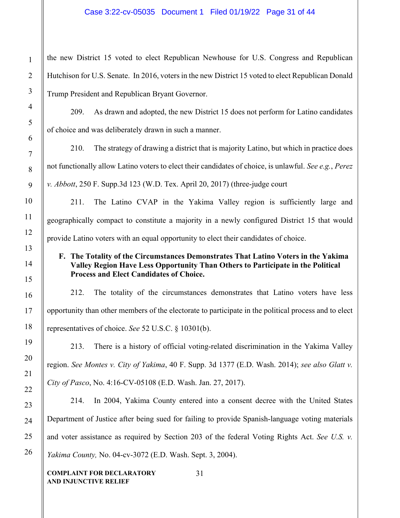# Case 3:22-cv-05035 Document 1 Filed 01/19/22 Page 31 of 44

the new District 15 voted to elect Republican Newhouse for U.S. Congress and Republican Hutchison for U.S. Senate. In 2016, voters in the new District 15 voted to elect Republican Donald Trump President and Republican Bryant Governor.

209. As drawn and adopted, the new District 15 does not perform for Latino candidates of choice and was deliberately drawn in such a manner.

210. The strategy of drawing a district that is majority Latino, but which in practice does not functionally allow Latino voters to elect their candidates of choice, is unlawful. *See e.g.*, *Perez v. Abbott*, 250 F. Supp.3d 123 (W.D. Tex. April 20, 2017) (three-judge court

211. The Latino CVAP in the Yakima Valley region is sufficiently large and geographically compact to constitute a majority in a newly configured District 15 that would provide Latino voters with an equal opportunity to elect their candidates of choice.

# **F. The Totality of the Circumstances Demonstrates That Latino Voters in the Yakima Valley Region Have Less Opportunity Than Others to Participate in the Political Process and Elect Candidates of Choice.**

212. The totality of the circumstances demonstrates that Latino voters have less opportunity than other members of the electorate to participate in the political process and to elect representatives of choice. *See* 52 U.S.C. § 10301(b).

213. There is a history of official voting-related discrimination in the Yakima Valley region. *See Montes v. City of Yakima*, 40 F. Supp. 3d 1377 (E.D. Wash. 2014); *see also Glatt v. City of Pasco*, No. 4:16-CV-05108 (E.D. Wash. Jan. 27, 2017).

214. In 2004, Yakima County entered into a consent decree with the United States Department of Justice after being sued for failing to provide Spanish-language voting materials and voter assistance as required by Section 203 of the federal Voting Rights Act. *See U.S. v. Yakima County,* No. 04-cv-3072 (E.D. Wash. Sept. 3, 2004).

31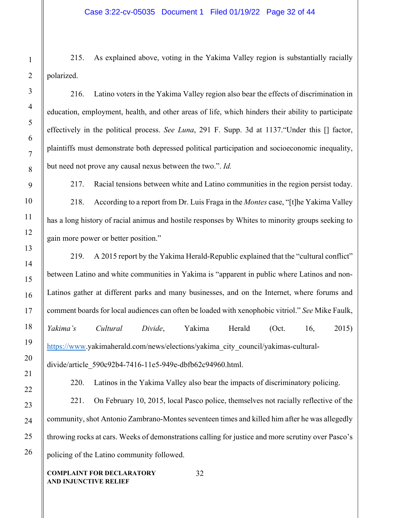215. As explained above, voting in the Yakima Valley region is substantially racially polarized.

216. Latino voters in the Yakima Valley region also bear the effects of discrimination in education, employment, health, and other areas of life, which hinders their ability to participate effectively in the political process. *See Luna*, 291 F. Supp. 3d at 1137."Under this [] factor, plaintiffs must demonstrate both depressed political participation and socioeconomic inequality, but need not prove any causal nexus between the two.". *Id.*

217. Racial tensions between white and Latino communities in the region persist today. 218. According to a report from Dr. Luis Fraga in the *Montes* case, "[t]he Yakima Valley has a long history of racial animus and hostile responses by Whites to minority groups seeking to gain more power or better position."

219. A 2015 report by the Yakima Herald-Republic explained that the "cultural conflict" between Latino and white communities in Yakima is "apparent in public where Latinos and non-Latinos gather at different parks and many businesses, and on the Internet, where forums and comment boards for local audiences can often be loaded with xenophobic vitriol." *See* Mike Faulk, *Yakima's Cultural Divide*, Yakima Herald (Oct. 16, 2015) [https://www.](about:blank)yakimaherald.com/news/elections/yakima\_city\_council/yakimas-culturaldivide/article\_590c92b4-7416-11e5-949e-dbfb62c94960.html.

220. Latinos in the Yakima Valley also bear the impacts of discriminatory policing.

221. On February 10, 2015, local Pasco police, themselves not racially reflective of the community, shot Antonio Zambrano-Montes seventeen times and killed him after he was allegedly throwing rocks at cars. Weeks of demonstrations calling for justice and more scrutiny over Pasco's policing of the Latino community followed.

32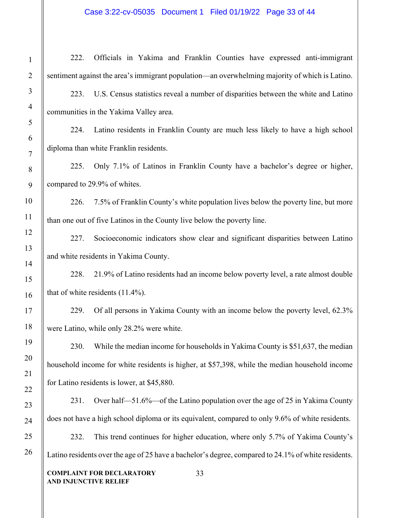1 2 3 4 5 6 7 8 9 10 11 12 13 14 15 16 17 18 19 20 21 22 23 24 25 222. Officials in Yakima and Franklin Counties have expressed anti-immigrant sentiment against the area's immigrant population—an overwhelming majority of which is Latino. 223. U.S. Census statistics reveal a number of disparities between the white and Latino communities in the Yakima Valley area. 224. Latino residents in Franklin County are much less likely to have a high school diploma than white Franklin residents. 225. Only 7.1% of Latinos in Franklin County have a bachelor's degree or higher, compared to 29.9% of whites. 226. 7.5% of Franklin County's white population lives below the poverty line, but more than one out of five Latinos in the County live below the poverty line. 227. Socioeconomic indicators show clear and significant disparities between Latino and white residents in Yakima County. 228. 21.9% of Latino residents had an income below poverty level, a rate almost double that of white residents (11.4%). 229. Of all persons in Yakima County with an income below the poverty level, 62.3% were Latino, while only 28.2% were white. 230. While the median income for households in Yakima County is \$51,637, the median household income for white residents is higher, at \$57,398, while the median household income for Latino residents is lower, at \$45,880. 231. Over half—51.6%—of the Latino population over the age of 25 in Yakima County does not have a high school diploma or its equivalent, compared to only 9.6% of white residents. 232. This trend continues for higher education, where only 5.7% of Yakima County's

Latino residents over the age of 25 have a bachelor's degree, compared to 24.1% of white residents.

**COMPLAINT FOR DECLARATORY AND INJUNCTIVE RELIEF**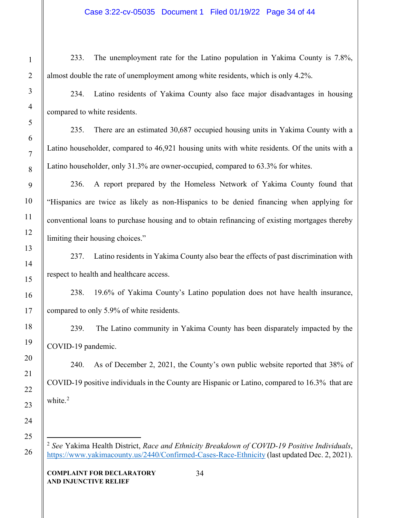233. The unemployment rate for the Latino population in Yakima County is 7.8%, almost double the rate of unemployment among white residents, which is only 4.2%.

234. Latino residents of Yakima County also face major disadvantages in housing compared to white residents.

235. There are an estimated 30,687 occupied housing units in Yakima County with a Latino householder, compared to 46,921 housing units with white residents. Of the units with a Latino householder, only 31.3% are owner-occupied, compared to 63.3% for whites.

236. A report prepared by the Homeless Network of Yakima County found that "Hispanics are twice as likely as non-Hispanics to be denied financing when applying for conventional loans to purchase housing and to obtain refinancing of existing mortgages thereby limiting their housing choices."

237. Latino residents in Yakima County also bear the effects of past discrimination with respect to health and healthcare access.

238. 19.6% of Yakima County's Latino population does not have health insurance, compared to only 5.9% of white residents.

239. The Latino community in Yakima County has been disparately impacted by the COVID-19 pandemic.

240. As of December 2, 2021, the County's own public website reported that 38% of COVID-19 positive individuals in the County are Hispanic or Latino, compared to 16.3% that are white. $2$ 

<span id="page-33-0"></span><sup>2</sup> *See* Yakima Health District, *Race and Ethnicity Breakdown of COVID-19 Positive Individuals*, [https://www.yakimacounty.us/2440/Confirmed-Cases-Race-Ethnicity](about:blank) (last updated Dec. 2, 2021).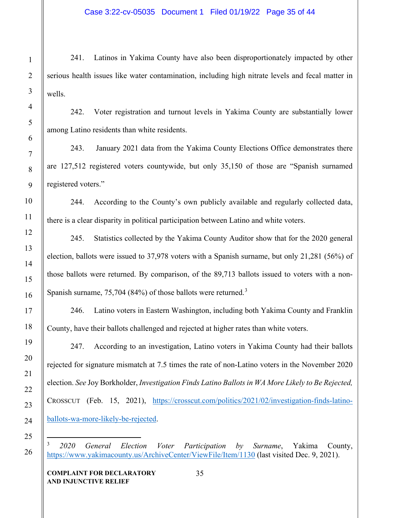241. Latinos in Yakima County have also been disproportionately impacted by other serious health issues like water contamination, including high nitrate levels and fecal matter in wells.

242. Voter registration and turnout levels in Yakima County are substantially lower among Latino residents than white residents.

243. January 2021 data from the Yakima County Elections Office demonstrates there are 127,512 registered voters countywide, but only 35,150 of those are "Spanish surnamed registered voters."

244. According to the County's own publicly available and regularly collected data, there is a clear disparity in political participation between Latino and white voters.

245. Statistics collected by the Yakima County Auditor show that for the 2020 general election, ballots were issued to 37,978 voters with a Spanish surname, but only 21,281 (56%) of those ballots were returned. By comparison, of the 89,713 ballots issued to voters with a non-Spanish surname, 75,704 (84%) of those ballots were returned.<sup>[3](#page-34-0)</sup>

246. Latino voters in Eastern Washington, including both Yakima County and Franklin County, have their ballots challenged and rejected at higher rates than white voters.

247. According to an investigation, Latino voters in Yakima County had their ballots rejected for signature mismatch at 7.5 times the rate of non-Latino voters in the November 2020 election. *See* Joy Borkholder, *Investigation Finds Latino Ballots in WA More Likely to Be Rejected,*  CROSSCUT (Feb. 15, 2021), [https://crosscut.com/politics/2021/02/investigation-finds-latino](about:blank)[ballots-wa-more-likely-be-rejected.](about:blank)

<span id="page-34-0"></span><sup>3</sup> *2020 General Election Voter Participation by Surname*, Yakima County, [https://www.yakimacounty.us/ArchiveCenter/ViewFile/Item/1130](about:blank) (last visited Dec. 9, 2021).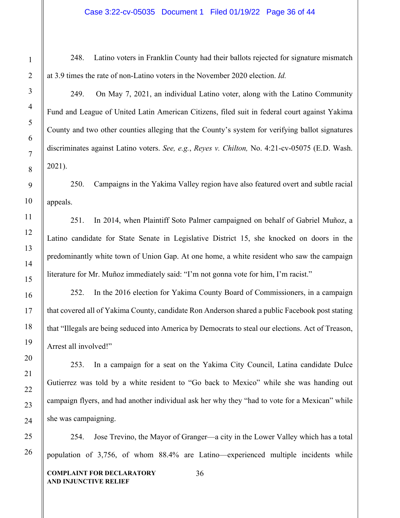248. Latino voters in Franklin County had their ballots rejected for signature mismatch at 3.9 times the rate of non-Latino voters in the November 2020 election. *Id.* 

249. On May 7, 2021, an individual Latino voter, along with the Latino Community Fund and League of United Latin American Citizens, filed suit in federal court against Yakima County and two other counties alleging that the County's system for verifying ballot signatures discriminates against Latino voters. *See, e.g.*, *Reyes v. Chilton,* No. 4:21-cv-05075 (E.D. Wash. 2021).

250. Campaigns in the Yakima Valley region have also featured overt and subtle racial appeals.

251. In 2014, when Plaintiff Soto Palmer campaigned on behalf of Gabriel Muñoz, a Latino candidate for State Senate in Legislative District 15, she knocked on doors in the predominantly white town of Union Gap. At one home, a white resident who saw the campaign literature for Mr. Muñoz immediately said: "I'm not gonna vote for him, I'm racist."

252. In the 2016 election for Yakima County Board of Commissioners, in a campaign that covered all of Yakima County, candidate Ron Anderson shared a public Facebook post stating that "Illegals are being seduced into America by Democrats to steal our elections. Act of Treason, Arrest all involved!"

253. In a campaign for a seat on the Yakima City Council, Latina candidate Dulce Gutierrez was told by a white resident to "Go back to Mexico" while she was handing out campaign flyers, and had another individual ask her why they "had to vote for a Mexican" while she was campaigning.

254. Jose Trevino, the Mayor of Granger—a city in the Lower Valley which has a total population of 3,756, of whom 88.4% are Latino—experienced multiple incidents while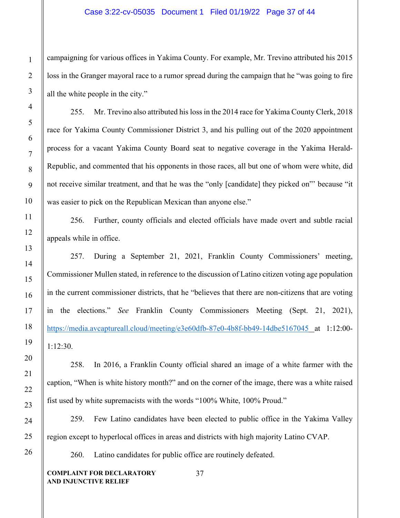campaigning for various offices in Yakima County. For example, Mr. Trevino attributed his 2015 loss in the Granger mayoral race to a rumor spread during the campaign that he "was going to fire all the white people in the city."

255. Mr. Trevino also attributed his loss in the 2014 race for Yakima County Clerk, 2018 race for Yakima County Commissioner District 3, and his pulling out of the 2020 appointment process for a vacant Yakima County Board seat to negative coverage in the Yakima Herald-Republic, and commented that his opponents in those races, all but one of whom were white, did not receive similar treatment, and that he was the "only [candidate] they picked on"' because "it was easier to pick on the Republican Mexican than anyone else."

256. Further, county officials and elected officials have made overt and subtle racial appeals while in office.

257. During a September 21, 2021, Franklin County Commissioners' meeting, Commissioner Mullen stated, in reference to the discussion of Latino citizen voting age population in the current commissioner districts, that he "believes that there are non-citizens that are voting in the elections." *See* Franklin County Commissioners Meeting (Sept. 21, 2021), [https://media.avcaptureall.cloud/meeting/e3e60dfb-87e0-4b8f-bb49-14dbe5167045](about:blank) at 1:12:00- 1:12:30.

258. In 2016, a Franklin County official shared an image of a white farmer with the caption, "When is white history month?" and on the corner of the image, there was a white raised fist used by white supremacists with the words "100% White, 100% Proud."

259. Few Latino candidates have been elected to public office in the Yakima Valley region except to hyperlocal offices in areas and districts with high majority Latino CVAP.

260. Latino candidates for public office are routinely defeated.

**COMPLAINT FOR DECLARATORY AND INJUNCTIVE RELIEF**

37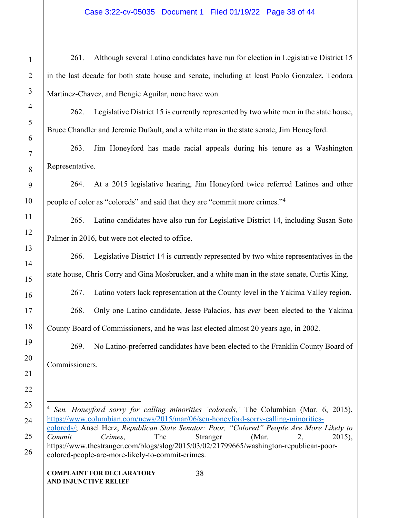261. Although several Latino candidates have run for election in Legislative District 15 in the last decade for both state house and senate, including at least Pablo Gonzalez, Teodora Martinez-Chavez, and Bengie Aguilar, none have won.

262. Legislative District 15 is currently represented by two white men in the state house, Bruce Chandler and Jeremie Dufault, and a white man in the state senate, Jim Honeyford.

263. Jim Honeyford has made racial appeals during his tenure as a Washington Representative.

264. At a 2015 legislative hearing, Jim Honeyford twice referred Latinos and other people of color as "coloreds" and said that they are "commit more crimes."[4](#page-37-0)

265. Latino candidates have also run for Legislative District 14, including Susan Soto Palmer in 2016, but were not elected to office.

266. Legislative District 14 is currently represented by two white representatives in the state house, Chris Corry and Gina Mosbrucker, and a white man in the state senate, Curtis King.

267. Latino voters lack representation at the County level in the Yakima Valley region.

268. Only one Latino candidate, Jesse Palacios, has *ever* been elected to the Yakima County Board of Commissioners, and he was last elected almost 20 years ago, in 2002.

269. No Latino-preferred candidates have been elected to the Franklin County Board of Commissioners.

<span id="page-37-0"></span><sup>4</sup> *Sen. Honeyford sorry for calling minorities 'coloreds,'* The Columbian (Mar. 6, 2015), [https://www.columbian.com/news/2015/mar/06/sen-honeyford-sorry-calling-minorities](about:blank)[coloreds/;](about:blank) Ansel Herz, *Republican State Senator: Poor, "Colored" People Are More Likely to Commit Crimes*, The Stranger (Mar. 2, 2015), https://www.thestranger.com/blogs/slog/2015/03/02/21799665/washington-republican-poorcolored-people-are-more-likely-to-commit-crimes.

38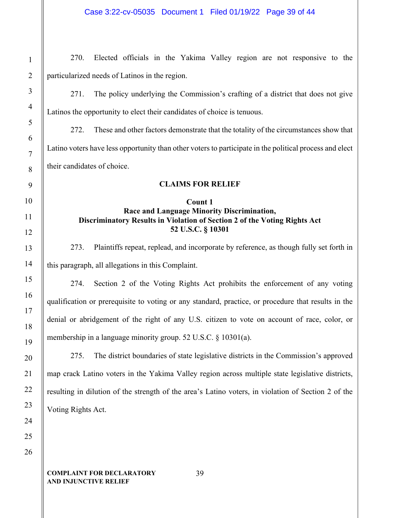270. Elected officials in the Yakima Valley region are not responsive to the particularized needs of Latinos in the region. 271. The policy underlying the Commission's crafting of a district that does not give Latinos the opportunity to elect their candidates of choice is tenuous. 272. These and other factors demonstrate that the totality of the circumstances show that Latino voters have less opportunity than other voters to participate in the political process and elect their candidates of choice. **CLAIMS FOR RELIEF Count 1 Race and Language Minority Discrimination, Discriminatory Results in Violation of Section 2 of the Voting Rights Act 52 U.S.C. § 10301** 273. Plaintiffs repeat, replead, and incorporate by reference, as though fully set forth in this paragraph, all allegations in this Complaint. 274. Section 2 of the Voting Rights Act prohibits the enforcement of any voting qualification or prerequisite to voting or any standard, practice, or procedure that results in the denial or abridgement of the right of any U.S. citizen to vote on account of race, color, or membership in a language minority group. 52 U.S.C. § 10301(a). 275. The district boundaries of state legislative districts in the Commission's approved map crack Latino voters in the Yakima Valley region across multiple state legislative districts, resulting in dilution of the strength of the area's Latino voters, in violation of Section 2 of the Voting Rights Act.

#### **COMPLAINT FOR DECLARATORY AND INJUNCTIVE RELIEF**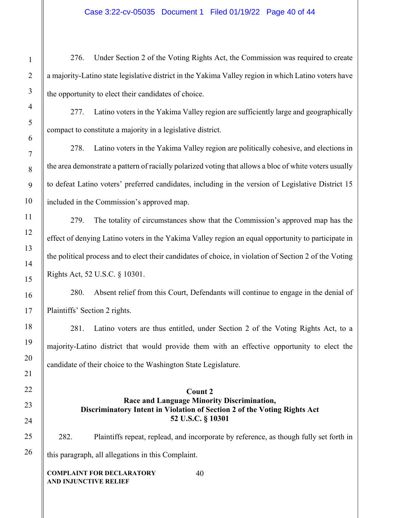276. Under Section 2 of the Voting Rights Act, the Commission was required to create a majority-Latino state legislative district in the Yakima Valley region in which Latino voters have the opportunity to elect their candidates of choice.

277. Latino voters in the Yakima Valley region are sufficiently large and geographically compact to constitute a majority in a legislative district.

278. Latino voters in the Yakima Valley region are politically cohesive, and elections in the area demonstrate a pattern of racially polarized voting that allows a bloc of white voters usually to defeat Latino voters' preferred candidates, including in the version of Legislative District 15 included in the Commission's approved map.

279. The totality of circumstances show that the Commission's approved map has the effect of denying Latino voters in the Yakima Valley region an equal opportunity to participate in the political process and to elect their candidates of choice, in violation of Section 2 of the Voting Rights Act, 52 U.S.C. § 10301.

280. Absent relief from this Court, Defendants will continue to engage in the denial of Plaintiffs' Section 2 rights.

281. Latino voters are thus entitled, under Section 2 of the Voting Rights Act, to a majority-Latino district that would provide them with an effective opportunity to elect the candidate of their choice to the Washington State Legislature.

# **Count 2 Race and Language Minority Discrimination, Discriminatory Intent in Violation of Section 2 of the Voting Rights Act 52 U.S.C. § 10301**

282. Plaintiffs repeat, replead, and incorporate by reference, as though fully set forth in this paragraph, all allegations in this Complaint.

40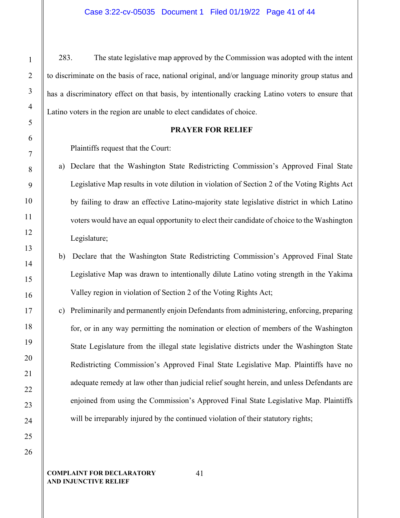283. The state legislative map approved by the Commission was adopted with the intent to discriminate on the basis of race, national original, and/or language minority group status and has a discriminatory effect on that basis, by intentionally cracking Latino voters to ensure that Latino voters in the region are unable to elect candidates of choice.

### **PRAYER FOR RELIEF**

Plaintiffs request that the Court:

- a) Declare that the Washington State Redistricting Commission's Approved Final State Legislative Map results in vote dilution in violation of Section 2 of the Voting Rights Act by failing to draw an effective Latino-majority state legislative district in which Latino voters would have an equal opportunity to elect their candidate of choice to the Washington Legislature;
- b) Declare that the Washington State Redistricting Commission's Approved Final State Legislative Map was drawn to intentionally dilute Latino voting strength in the Yakima Valley region in violation of Section 2 of the Voting Rights Act;
- c) Preliminarily and permanently enjoin Defendants from administering, enforcing, preparing for, or in any way permitting the nomination or election of members of the Washington State Legislature from the illegal state legislative districts under the Washington State Redistricting Commission's Approved Final State Legislative Map. Plaintiffs have no adequate remedy at law other than judicial relief sought herein, and unless Defendants are enjoined from using the Commission's Approved Final State Legislative Map. Plaintiffs will be irreparably injured by the continued violation of their statutory rights;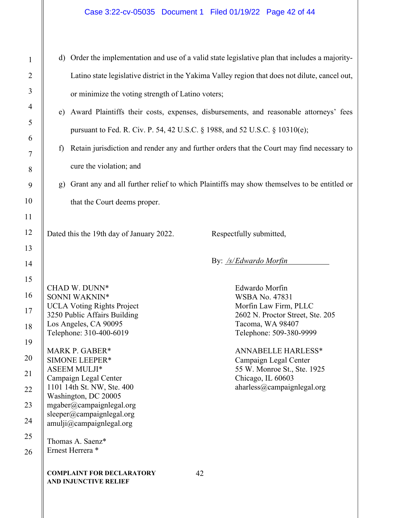| $\mathbf{1}$   | d) Order the implementation and use of a valid state legislative plan that includes a majority- |                                                           |                                                                                            |  |
|----------------|-------------------------------------------------------------------------------------------------|-----------------------------------------------------------|--------------------------------------------------------------------------------------------|--|
| $\overline{2}$ | Latino state legislative district in the Yakima Valley region that does not dilute, cancel out, |                                                           |                                                                                            |  |
| 3              | or minimize the voting strength of Latino voters;                                               |                                                           |                                                                                            |  |
| $\overline{4}$ | e) Award Plaintiffs their costs, expenses, disbursements, and reasonable attorneys' fees        |                                                           |                                                                                            |  |
| 5              | pursuant to Fed. R. Civ. P. 54, 42 U.S.C. § 1988, and 52 U.S.C. § 10310(e);                     |                                                           |                                                                                            |  |
| 6              | Retain jurisdiction and render any and further orders that the Court may find necessary to<br>f |                                                           |                                                                                            |  |
| $\tau$         | cure the violation; and                                                                         |                                                           |                                                                                            |  |
| 8<br>9         | $\mathbf{g}$                                                                                    |                                                           | Grant any and all further relief to which Plaintiffs may show themselves to be entitled or |  |
| 10             |                                                                                                 |                                                           |                                                                                            |  |
| 11             |                                                                                                 | that the Court deems proper.                              |                                                                                            |  |
| 12             |                                                                                                 | Dated this the 19th day of January 2022.                  | Respectfully submitted,                                                                    |  |
| 13             |                                                                                                 |                                                           |                                                                                            |  |
| 14             |                                                                                                 |                                                           | By: /s/Edwardo Morfin                                                                      |  |
| 15             |                                                                                                 | CHAD W. DUNN*                                             | Edwardo Morfin                                                                             |  |
| 16             |                                                                                                 | SONNI WAKNIN*                                             | <b>WSBA No. 47831</b>                                                                      |  |
| 17             |                                                                                                 | <b>UCLA Voting Rights Project</b>                         | Morfin Law Firm, PLLC                                                                      |  |
|                |                                                                                                 | 3250 Public Affairs Building<br>Los Angeles, CA 90095     | 2602 N. Proctor Street, Ste. 205<br>Tacoma, WA 98407                                       |  |
| 18<br>19       |                                                                                                 | Telephone: 310-400-6019                                   | Telephone: 509-380-9999                                                                    |  |
| 20             |                                                                                                 | MARK P. GABER*<br><b>SIMONE LEEPER*</b>                   | <b>ANNABELLE HARLESS*</b><br>Campaign Legal Center                                         |  |
| 21             |                                                                                                 | <b>ASEEM MULJI*</b>                                       | 55 W. Monroe St., Ste. 1925                                                                |  |
| 22             |                                                                                                 | Campaign Legal Center<br>1101 14th St. NW, Ste. 400       | Chicago, IL 60603<br>aharless@campaignlegal.org                                            |  |
| 23             |                                                                                                 | Washington, DC 20005<br>mgaber@campaignlegal.org          |                                                                                            |  |
| 24             |                                                                                                 | sleeper@campaignlegal.org<br>amuli@campaignlegal.org      |                                                                                            |  |
| 25             |                                                                                                 |                                                           |                                                                                            |  |
| 26             |                                                                                                 | Thomas A. Saenz*<br>Ernest Herrera <sup>*</sup>           |                                                                                            |  |
|                |                                                                                                 | <b>COMPLAINT FOR DECLARATORY</b><br>AND INJUNCTIVE RELIEF | 42                                                                                         |  |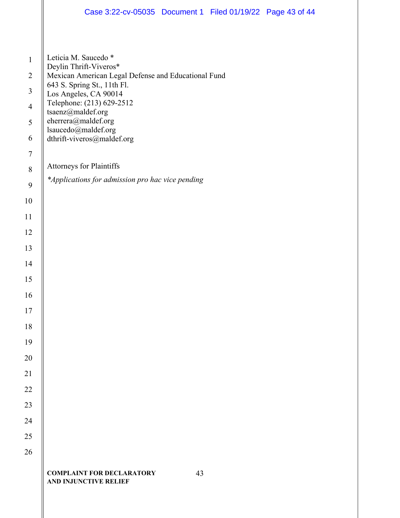|                  | Case 3:22-cv-05035 Document 1 Filed 01/19/22 Page 43 of 44                                                                               |  |  |  |
|------------------|------------------------------------------------------------------------------------------------------------------------------------------|--|--|--|
|                  |                                                                                                                                          |  |  |  |
|                  |                                                                                                                                          |  |  |  |
| $\mathbf{1}$     | Leticia M. Saucedo *<br>Deylin Thrift-Viveros*                                                                                           |  |  |  |
| $\overline{2}$   | Mexican American Legal Defense and Educational Fund<br>643 S. Spring St., 11th Fl.<br>Los Angeles, CA 90014<br>Telephone: (213) 629-2512 |  |  |  |
| $\overline{3}$   |                                                                                                                                          |  |  |  |
| $\overline{4}$   | tsaenz@maldef.org<br>eherrera@maldef.org<br>lsaucedo@maldef.org                                                                          |  |  |  |
| 5                |                                                                                                                                          |  |  |  |
| 6                | dthrift-viveros@maldef.org                                                                                                               |  |  |  |
| $\boldsymbol{7}$ | Attorneys for Plaintiffs                                                                                                                 |  |  |  |
| $\,8\,$          | *Applications for admission pro hac vice pending                                                                                         |  |  |  |
| $\mathbf{9}$     |                                                                                                                                          |  |  |  |
| 10               |                                                                                                                                          |  |  |  |
| 11               |                                                                                                                                          |  |  |  |
| 12               |                                                                                                                                          |  |  |  |
| 13<br>14         |                                                                                                                                          |  |  |  |
| 15               |                                                                                                                                          |  |  |  |
| 16               |                                                                                                                                          |  |  |  |
| 17               |                                                                                                                                          |  |  |  |
| 18               |                                                                                                                                          |  |  |  |
| 19               |                                                                                                                                          |  |  |  |
| 20               |                                                                                                                                          |  |  |  |
| 21               |                                                                                                                                          |  |  |  |
| 22               |                                                                                                                                          |  |  |  |
| 23               |                                                                                                                                          |  |  |  |
| 24               |                                                                                                                                          |  |  |  |
| 25               |                                                                                                                                          |  |  |  |
| 26               |                                                                                                                                          |  |  |  |
|                  | <b>COMPLAINT FOR DECLARATORY</b><br>43<br><b>AND INJUNCTIVE RELIEF</b>                                                                   |  |  |  |